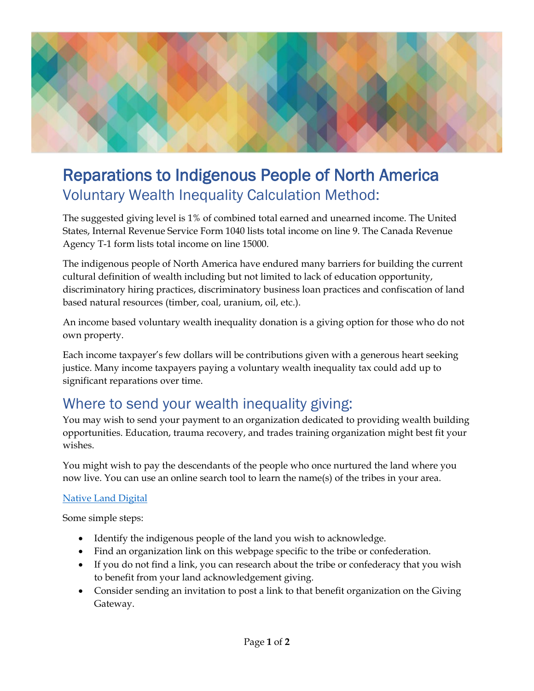

## Reparations to Indigenous People of North America Voluntary Wealth Inequality Calculation Method:

The suggested giving level is 1% of combined total earned and unearned income. The United States, Internal Revenue Service Form 1040 lists total income on line 9. The Canada Revenue Agency T-1 form lists total income on line 15000.

The indigenous people of North America have endured many barriers for building the current cultural definition of wealth including but not limited to lack of education opportunity, discriminatory hiring practices, discriminatory business loan practices and confiscation of land based natural resources (timber, coal, uranium, oil, etc.).

An income based voluntary wealth inequality donation is a giving option for those who do not own property.

Each income taxpayer's few dollars will be contributions given with a generous heart seeking justice. Many income taxpayers paying a voluntary wealth inequality tax could add up to significant reparations over time.

## Where to send your wealth inequality giving:

You may wish to send your payment to an organization dedicated to providing wealth building opportunities. Education, trauma recovery, and trades training organization might best fit your wishes.

You might wish to pay the descendants of the people who once nurtured the land where you now live. You can use an online search tool to learn the name(s) of the tribes in your area.

## [Native Land Digital](https://native-land.ca/)

Some simple steps:

- Identify the indigenous people of the land you wish to acknowledge.
- Find an organization link on this webpage specific to the tribe or confederation.
- If you do not find a link, you can research about the tribe or confederacy that you wish to benefit from your land acknowledgement giving.
- Consider sending an invitation to post a link to that benefit organization on the Giving Gateway.